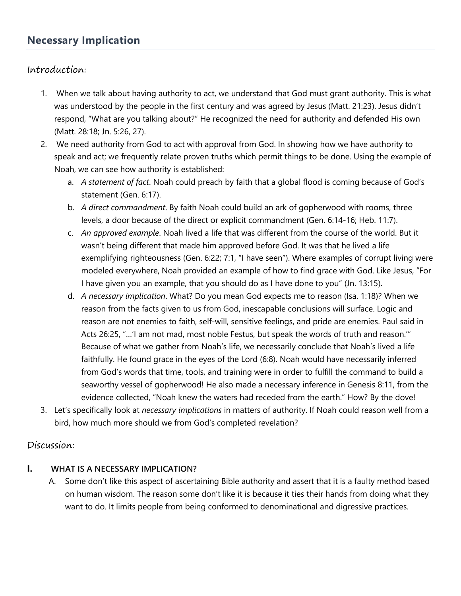# **Necessary Implication**

## Introduction:

- 1. When we talk about having authority to act, we understand that God must grant authority. This is what was understood by the people in the first century and was agreed by Jesus (Matt. 21:23). Jesus didn't respond, "What are you talking about?" He recognized the need for authority and defended His own (Matt. 28:18; Jn. 5:26, 27).
- 2. We need authority from God to act with approval from God. In showing how we have authority to speak and act; we frequently relate proven truths which permit things to be done. Using the example of Noah, we can see how authority is established:
	- a. *A statement of fact*. Noah could preach by faith that a global flood is coming because of God's statement (Gen. 6:17).
	- b. *A direct commandment*. By faith Noah could build an ark of gopherwood with rooms, three levels, a door because of the direct or explicit commandment (Gen. 6:14-16; Heb. 11:7).
	- c. *An approved example*. Noah lived a life that was different from the course of the world. But it wasn't being different that made him approved before God. It was that he lived a life exemplifying righteousness (Gen. 6:22; 7:1, "I have seen"). Where examples of corrupt living were modeled everywhere, Noah provided an example of how to find grace with God. Like Jesus, "For I have given you an example, that you should do as I have done to you" (Jn. 13:15).
	- d. *A necessary implication*. What? Do you mean God expects me to reason (Isa. 1:18)? When we reason from the facts given to us from God, inescapable conclusions will surface. Logic and reason are not enemies to faith, self-will, sensitive feelings, and pride are enemies. Paul said in Acts 26:25, "…'I am not mad, most noble Festus, but speak the words of truth and reason.'" Because of what we gather from Noah's life, we necessarily conclude that Noah's lived a life faithfully. He found grace in the eyes of the Lord (6:8). Noah would have necessarily inferred from God's words that time, tools, and training were in order to fulfill the command to build a seaworthy vessel of gopherwood! He also made a necessary inference in Genesis 8:11, from the evidence collected, "Noah knew the waters had receded from the earth." How? By the dove!
- 3. Let's specifically look at *necessary implications* in matters of authority. If Noah could reason well from a bird, how much more should we from God's completed revelation?

### Discussion:

### **I. WHAT IS A NECESSARY IMPLICATION?**

A. Some don't like this aspect of ascertaining Bible authority and assert that it is a faulty method based on human wisdom. The reason some don't like it is because it ties their hands from doing what they want to do. It limits people from being conformed to denominational and digressive practices.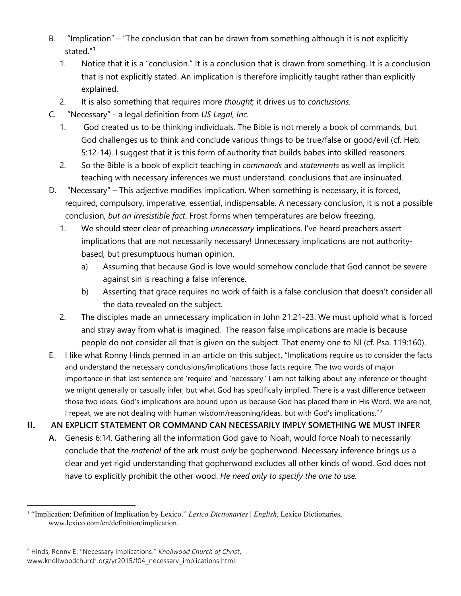- B. "Implication" "The conclusion that can be drawn from something although it is not explicitly stated." [1](#page-1-0)
	- 1. Notice that it is a "conclusion." It is a conclusion that is drawn from something. It is a conclusion that is not explicitly stated. An implication is therefore implicitly taught rather than explicitly explained.
	- 2. It is also something that requires more *thought;* it drives us to *conclusions*.
- C. "Necessary" a legal definition from *US Legal, Inc*.
	- 1. God created us to be thinking individuals. The Bible is not merely a book of commands, but God challenges us to think and conclude various things to be true/false or good/evil (cf. Heb. 5:12-14). I suggest that it is this form of authority that builds babes into skilled reasoners.
	- 2. So the Bible is a book of explicit teaching in *commands* and *statements* as well as implicit teaching with necessary inferences we must understand, conclusions that are insinuated.
- D. "Necessary" This adjective modifies implication. When something is necessary, it is forced, required, compulsory, imperative, essential, indispensable. A necessary conclusion, it is not a possible conclusion, *but an irresistible fact*. Frost forms when temperatures are below freezing.
	- 1. We should steer clear of preaching *unnecessary* implications. I've heard preachers assert implications that are not necessarily necessary! Unnecessary implications are not authoritybased, but presumptuous human opinion.
		- a) Assuming that because God is love would somehow conclude that God cannot be severe against sin is reaching a false inference.
		- b) Asserting that grace requires no work of faith is a false conclusion that doesn't consider all the data revealed on the subject.
	- 2. The disciples made an unnecessary implication in John 21:21-23. We must uphold what is forced and stray away from what is imagined. The reason false implications are made is because people do not consider all that is given on the subject. That enemy one to NI (cf. Psa. 119:160).
- E. I like what Ronny Hinds penned in an article on this subject, "Implications require us to consider the facts and understand the necessary conclusions/implications those facts require. The two words of major importance in that last sentence are 'require' and 'necessary.' I am not talking about any inference or thought we might generally or casually infer, but what God has specifically implied. There is a vast difference between those two ideas. God's implications are bound upon us because God has placed them in His Word. We are not, I repeat, we are not dealing with human wisdom/reasoning/ideas, but with God's implications."<sup>[2](#page-1-1)</sup>

**II. AN EXPLICIT STATEMENT OR COMMAND CAN NECESSARILY IMPLY SOMETHING WE MUST INFER**

**A.** Genesis 6:14. Gathering all the information God gave to Noah, would force Noah to necessarily conclude that the *material* of the ark must *only* be gopherwood. Necessary inference brings us a clear and yet rigid understanding that gopherwood excludes all other kinds of wood. God does not have to explicitly prohibit the other wood. *He need only to specify the one to use.*

<span id="page-1-0"></span><sup>&</sup>lt;sup>1</sup> "Implication: Definition of Implication by Lexico." *Lexico Dictionaries* | *English*, Lexico Dictionaries, www.lexico.com/en/definition/implication.

<span id="page-1-1"></span><sup>2</sup> Hinds, Ronny E. "Necessary Implications." *Knollwood Church of Christ*, www.knollwoodchurch.org/yr2015/f04\_necessary\_implications.html.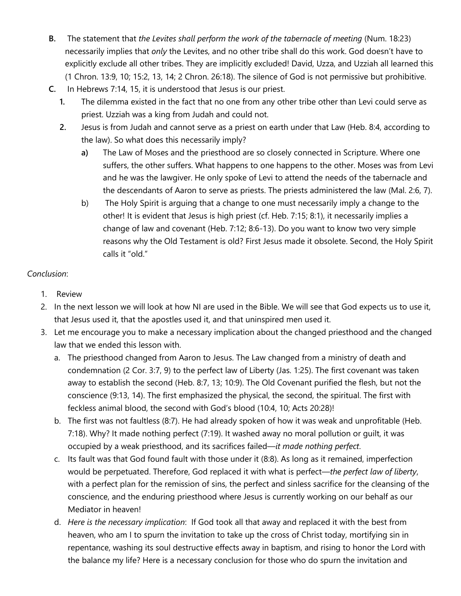- **B.** The statement that *the Levites shall perform the work of the tabernacle of meeting* (Num. 18:23) necessarily implies that *only* the Levites, and no other tribe shall do this work. God doesn't have to explicitly exclude all other tribes. They are implicitly excluded! David, Uzza, and Uzziah all learned this (1 Chron. 13:9, 10; 15:2, 13, 14; 2 Chron. 26:18). The silence of God is not permissive but prohibitive.
- **C.** In Hebrews 7:14, 15, it is understood that Jesus is our priest.
	- **1.** The dilemma existed in the fact that no one from any other tribe other than Levi could serve as priest. Uzziah was a king from Judah and could not.
	- **2.** Jesus is from Judah and cannot serve as a priest on earth under that Law (Heb. 8:4, according to the law). So what does this necessarily imply?
		- **a)** The Law of Moses and the priesthood are so closely connected in Scripture. Where one suffers, the other suffers. What happens to one happens to the other. Moses was from Levi and he was the lawgiver. He only spoke of Levi to attend the needs of the tabernacle and the descendants of Aaron to serve as priests. The priests administered the law (Mal. 2:6, 7).
		- b) The Holy Spirit is arguing that a change to one must necessarily imply a change to the other! It is evident that Jesus is high priest (cf. Heb. 7:15; 8:1), it necessarily implies a change of law and covenant (Heb. 7:12; 8:6-13). Do you want to know two very simple reasons why the Old Testament is old? First Jesus made it obsolete. Second, the Holy Spirit calls it "old."

### *Conclusion*:

- 1. Review
- 2. In the next lesson we will look at how NI are used in the Bible. We will see that God expects us to use it, that Jesus used it, that the apostles used it, and that uninspired men used it.
- 3. Let me encourage you to make a necessary implication about the changed priesthood and the changed law that we ended this lesson with.
	- a. The priesthood changed from Aaron to Jesus. The Law changed from a ministry of death and condemnation (2 Cor. 3:7, 9) to the perfect law of Liberty (Jas. 1:25). The first covenant was taken away to establish the second (Heb. 8:7, 13; 10:9). The Old Covenant purified the flesh, but not the conscience (9:13, 14). The first emphasized the physical, the second, the spiritual. The first with feckless animal blood, the second with God's blood (10:4, 10; Acts 20:28)!
	- b. The first was not faultless (8:7). He had already spoken of how it was weak and unprofitable (Heb. 7:18). Why? It made nothing perfect (7:19). It washed away no moral pollution or guilt, it was occupied by a weak priesthood, and its sacrifices failed—*it made nothing perfect*.
	- c. Its fault was that God found fault with those under it (8:8). As long as it remained, imperfection would be perpetuated. Therefore, God replaced it with what is perfect—*the perfect law of liberty*, with a perfect plan for the remission of sins, the perfect and sinless sacrifice for the cleansing of the conscience, and the enduring priesthood where Jesus is currently working on our behalf as our Mediator in heaven!
	- d. *Here is the necessary implication*: If God took all that away and replaced it with the best from heaven, who am I to spurn the invitation to take up the cross of Christ today, mortifying sin in repentance, washing its soul destructive effects away in baptism, and rising to honor the Lord with the balance my life? Here is a necessary conclusion for those who do spurn the invitation and